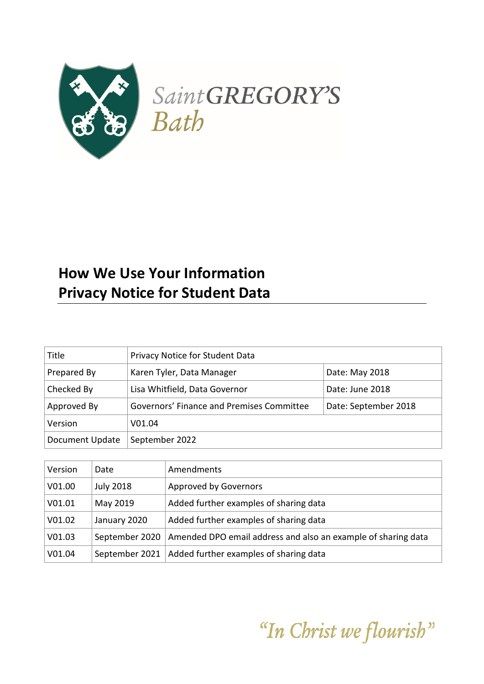

# **How We Use Your Information Privacy Notice for Student Data**

| Title           | Privacy Notice for Student Data                                   |  |
|-----------------|-------------------------------------------------------------------|--|
| Prepared By     | Karen Tyler, Data Manager<br>Date: May 2018                       |  |
| Checked By      | Lisa Whitfield, Data Governor<br>Date: June 2018                  |  |
| Approved By     | Governors' Finance and Premises Committee<br>Date: September 2018 |  |
| Version         | V01.04                                                            |  |
| Document Update | September 2022                                                    |  |

| Version | Date             | Amendments                                                    |
|---------|------------------|---------------------------------------------------------------|
| V01.00  | <b>July 2018</b> | <b>Approved by Governors</b>                                  |
| V01.01  | May 2019         | Added further examples of sharing data                        |
| V01.02  | January 2020     | Added further examples of sharing data                        |
| V01.03  | September 2020   | Amended DPO email address and also an example of sharing data |
| V01.04  | September 2021   | Added further examples of sharing data                        |

"In Christ we flourish"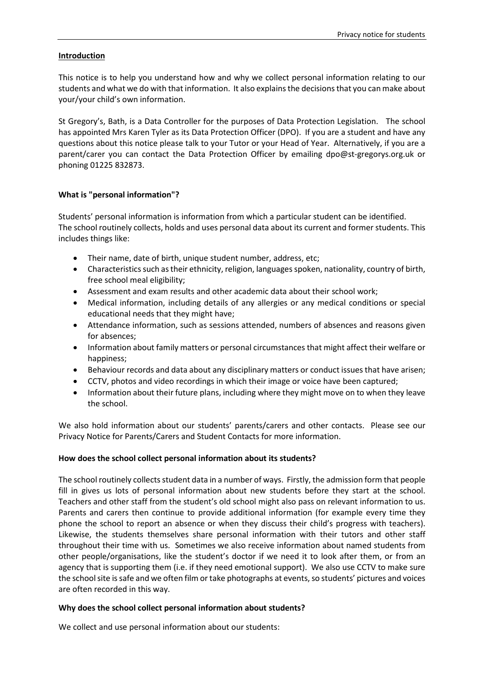## **Introduction**

This notice is to help you understand how and why we collect personal information relating to our students and what we do with that information. It also explains the decisions that you can make about your/your child's own information.

St Gregory's, Bath, is a Data Controller for the purposes of Data Protection Legislation. The school has appointed Mrs Karen Tyler as its Data Protection Officer (DPO). If you are a student and have any questions about this notice please talk to your Tutor or your Head of Year. Alternatively, if you are a parent/carer you can contact the Data Protection Officer by emailing [dpo@st-gregorys.org.uk](mailto:dpo@st-gregorys.org.uk) or phoning 01225 832873.

## **What is "personal information"?**

Students' personal information is information from which a particular student can be identified. The school routinely collects, holds and uses personal data about its current and former students. This includes things like:

- Their name, date of birth, unique student number, address, etc;
- Characteristics such as their ethnicity, religion, languages spoken, nationality, country of birth, free school meal eligibility;
- Assessment and exam results and other academic data about their school work;
- Medical information, including details of any allergies or any medical conditions or special educational needs that they might have;
- Attendance information, such as sessions attended, numbers of absences and reasons given for absences;
- Information about family matters or personal circumstances that might affect their welfare or happiness;
- Behaviour records and data about any disciplinary matters or conduct issues that have arisen;
- CCTV, photos and video recordings in which their image or voice have been captured;
- Information about their future plans, including where they might move on to when they leave the school.

We also hold information about our students' parents/carers and other contacts. Please see our Privacy Notice for Parents/Carers and Student Contacts for more information.

# **How does the school collect personal information about its students?**

The school routinely collects student data in a number of ways. Firstly, the admission form that people fill in gives us lots of personal information about new students before they start at the school. Teachers and other staff from the student's old school might also pass on relevant information to us. Parents and carers then continue to provide additional information (for example every time they phone the school to report an absence or when they discuss their child's progress with teachers). Likewise, the students themselves share personal information with their tutors and other staff throughout their time with us. Sometimes we also receive information about named students from other people/organisations, like the student's doctor if we need it to look after them, or from an agency that is supporting them (i.e. if they need emotional support). We also use CCTV to make sure the school site is safe and we often film or take photographs at events, so students' pictures and voices are often recorded in this way.

#### **Why does the school collect personal information about students?**

We collect and use personal information about our students: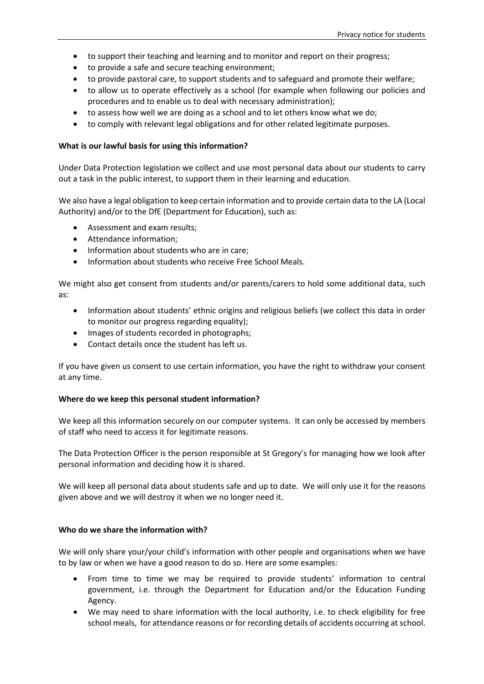- to support their teaching and learning and to monitor and report on their progress;
- to provide a safe and secure teaching environment;
- to provide pastoral care, to support students and to safeguard and promote their welfare;
- to allow us to operate effectively as a school (for example when following our policies and procedures and to enable us to deal with necessary administration);
- to assess how well we are doing as a school and to let others know what we do;
- to comply with relevant legal obligations and for other related legitimate purposes.

#### **What is our lawful basis for using this information?**

Under Data Protection legislation we collect and use most personal data about our students to carry out a task in the public interest, to support them in their learning and education.

We also have a legal obligation to keep certain information and to provide certain data to the LA (Local Authority) and/or to the DfE (Department for Education), such as:

- Assessment and exam results;
- Attendance information;
- Information about students who are in care;
- Information about students who receive Free School Meals.

We might also get consent from students and/or parents/carers to hold some additional data, such as:

- Information about students' ethnic origins and religious beliefs (we collect this data in order to monitor our progress regarding equality);
- Images of students recorded in photographs;
- Contact details once the student has left us.

If you have given us consent to use certain information, you have the right to withdraw your consent at any time.

# **Where do we keep this personal student information?**

We keep all this information securely on our computer systems. It can only be accessed by members of staff who need to access it for legitimate reasons.

The Data Protection Officer is the person responsible at St Gregory's for managing how we look after personal information and deciding how it is shared.

We will keep all personal data about students safe and up to date. We will only use it for the reasons given above and we will destroy it when we no longer need it.

# **Who do we share the information with?**

We will only share your/your child's information with other people and organisations when we have to by law or when we have a good reason to do so. Here are some examples:

- From time to time we may be required to provide students' information to central government, i.e. through the Department for Education and/or the Education Funding Agency.
- We may need to share information with the local authority, i.e. to check eligibility for free school meals, for attendance reasons or for recording details of accidents occurring at school.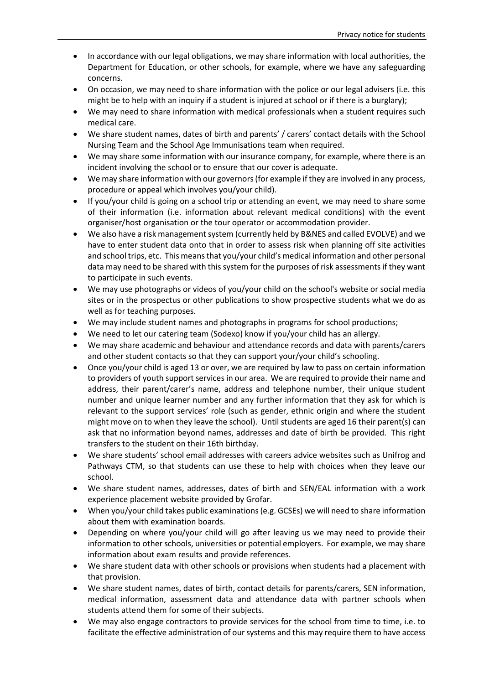- In accordance with our legal obligations, we may share information with local authorities, the Department for Education, or other schools, for example, where we have any safeguarding concerns.
- On occasion, we may need to share information with the police or our legal advisers (i.e. this might be to help with an inquiry if a student is injured at school or if there is a burglary);
- We may need to share information with medical professionals when a student requires such medical care.
- We share student names, dates of birth and parents' / carers' contact details with the School Nursing Team and the School Age Immunisations team when required.
- We may share some information with our insurance company, for example, where there is an incident involving the school or to ensure that our cover is adequate.
- We may share information with our governors (for example if they are involved in any process, procedure or appeal which involves you/your child).
- If you/your child is going on a school trip or attending an event, we may need to share some of their information (i.e. information about relevant medical conditions) with the event organiser/host organisation or the tour operator or accommodation provider.
- We also have a risk management system (currently held by B&NES and called EVOLVE) and we have to enter student data onto that in order to assess risk when planning off site activities and school trips, etc. This means that you/your child's medical information and other personal data may need to be shared with this system for the purposes of risk assessments if they want to participate in such events.
- We may use photographs or videos of you/your child on the school's website or social media sites or in the prospectus or other publications to show prospective students what we do as well as for teaching purposes.
- We may include student names and photographs in programs for school productions;
- We need to let our catering team (Sodexo) know if you/your child has an allergy.
- We may share academic and behaviour and attendance records and data with parents/carers and other student contacts so that they can support your/your child's schooling.
- Once you/your child is aged 13 or over, we are required by law to pass on certain information to providers of youth support services in our area. We are required to provide their name and address, their parent/carer's name, address and telephone number, their unique student number and unique learner number and any further information that they ask for which is relevant to the support services' role (such as gender, ethnic origin and where the student might move on to when they leave the school). Until students are aged 16 their parent(s) can ask that no information beyond names, addresses and date of birth be provided. This right transfers to the student on their 16th birthday.
- We share students' school email addresses with careers advice websites such as Unifrog and Pathways CTM, so that students can use these to help with choices when they leave our school.
- We share student names, addresses, dates of birth and SEN/EAL information with a work experience placement website provided by Grofar.
- When you/your child takes public examinations (e.g. GCSEs) we will need to share information about them with examination boards.
- Depending on where you/your child will go after leaving us we may need to provide their information to other schools, universities or potential employers. For example, we may share information about exam results and provide references.
- We share student data with other schools or provisions when students had a placement with that provision.
- We share student names, dates of birth, contact details for parents/carers, SEN information, medical information, assessment data and attendance data with partner schools when students attend them for some of their subjects.
- We may also engage contractors to provide services for the school from time to time, i.e. to facilitate the effective administration of our systems and this may require them to have access